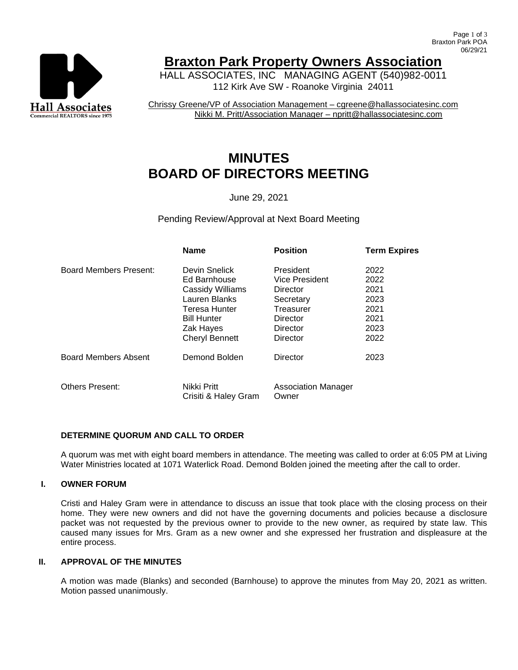

# **Braxton Park Property Owners Association**

HALL ASSOCIATES, INC MANAGING AGENT (540)982-0011 112 Kirk Ave SW - Roanoke Virginia 24011

Chrissy Greene/VP of Association Management – cgreene@hallassociatesinc.com Nikki M. Pritt/Association Manager – npritt@hallassociatesinc.com

# **MINUTES BOARD OF DIRECTORS MEETING**

June 29, 2021

Pending Review/Approval at Next Board Meeting

|                             | <b>Name</b>                         | <b>Position</b>                     | <b>Term Expires</b> |
|-----------------------------|-------------------------------------|-------------------------------------|---------------------|
| Board Members Present:      | Devin Snelick                       | President                           | 2022                |
|                             | Ed Barnhouse                        | <b>Vice President</b>               | 2022                |
|                             | <b>Cassidy Williams</b>             | Director                            | 2021                |
|                             | Lauren Blanks                       | Secretary                           | 2023                |
|                             | Teresa Hunter                       | Treasurer                           | 2021                |
|                             | <b>Bill Hunter</b>                  | Director                            | 2021                |
|                             | Zak Hayes                           | Director                            | 2023                |
|                             | <b>Cheryl Bennett</b>               | Director                            | 2022                |
| <b>Board Members Absent</b> | Demond Bolden                       | Director                            | 2023                |
| <b>Others Present:</b>      | Nikki Pritt<br>Crisiti & Haley Gram | <b>Association Manager</b><br>Owner |                     |

## **DETERMINE QUORUM AND CALL TO ORDER**

A quorum was met with eight board members in attendance. The meeting was called to order at 6:05 PM at Living Water Ministries located at 1071 Waterlick Road. Demond Bolden joined the meeting after the call to order.

## **I. OWNER FORUM**

Cristi and Haley Gram were in attendance to discuss an issue that took place with the closing process on their home. They were new owners and did not have the governing documents and policies because a disclosure packet was not requested by the previous owner to provide to the new owner, as required by state law. This caused many issues for Mrs. Gram as a new owner and she expressed her frustration and displeasure at the entire process.

#### **II. APPROVAL OF THE MINUTES**

A motion was made (Blanks) and seconded (Barnhouse) to approve the minutes from May 20, 2021 as written. Motion passed unanimously.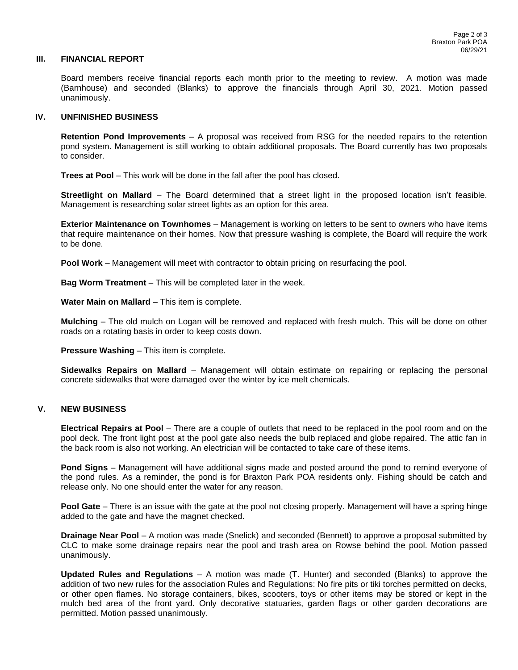#### **III. FINANCIAL REPORT**

Board members receive financial reports each month prior to the meeting to review. A motion was made (Barnhouse) and seconded (Blanks) to approve the financials through April 30, 2021. Motion passed unanimously.

#### **IV. UNFINISHED BUSINESS**

**Retention Pond Improvements** – A proposal was received from RSG for the needed repairs to the retention pond system. Management is still working to obtain additional proposals. The Board currently has two proposals to consider.

**Trees at Pool** – This work will be done in the fall after the pool has closed.

**Streetlight on Mallard** – The Board determined that a street light in the proposed location isn't feasible. Management is researching solar street lights as an option for this area.

**Exterior Maintenance on Townhomes** – Management is working on letters to be sent to owners who have items that require maintenance on their homes. Now that pressure washing is complete, the Board will require the work to be done.

**Pool Work** – Management will meet with contractor to obtain pricing on resurfacing the pool.

**Bag Worm Treatment** – This will be completed later in the week.

**Water Main on Mallard** – This item is complete.

**Mulching** – The old mulch on Logan will be removed and replaced with fresh mulch. This will be done on other roads on a rotating basis in order to keep costs down.

**Pressure Washing** – This item is complete.

**Sidewalks Repairs on Mallard** – Management will obtain estimate on repairing or replacing the personal concrete sidewalks that were damaged over the winter by ice melt chemicals.

#### **V. NEW BUSINESS**

**Electrical Repairs at Pool** – There are a couple of outlets that need to be replaced in the pool room and on the pool deck. The front light post at the pool gate also needs the bulb replaced and globe repaired. The attic fan in the back room is also not working. An electrician will be contacted to take care of these items.

**Pond Signs** – Management will have additional signs made and posted around the pond to remind everyone of the pond rules. As a reminder, the pond is for Braxton Park POA residents only. Fishing should be catch and release only. No one should enter the water for any reason.

**Pool Gate** – There is an issue with the gate at the pool not closing properly. Management will have a spring hinge added to the gate and have the magnet checked.

**Drainage Near Pool** – A motion was made (Snelick) and seconded (Bennett) to approve a proposal submitted by CLC to make some drainage repairs near the pool and trash area on Rowse behind the pool. Motion passed unanimously.

**Updated Rules and Regulations** – A motion was made (T. Hunter) and seconded (Blanks) to approve the addition of two new rules for the association Rules and Regulations: No fire pits or tiki torches permitted on decks, or other open flames. No storage containers, bikes, scooters, toys or other items may be stored or kept in the mulch bed area of the front yard. Only decorative statuaries, garden flags or other garden decorations are permitted. Motion passed unanimously.